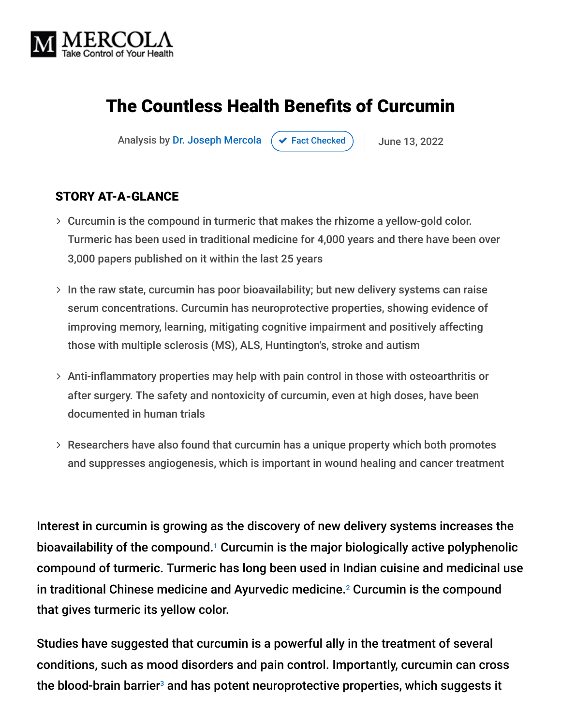

# The Countless Health Benefits of Curcumin

Analysis by [Dr. Joseph Mercola](https://www.mercola.com/forms/background.htm)  $\left( \right. \times$  [Fact Checked](javascript:void(0))  $\left. \right)$  June 13, 2022

#### STORY AT-A-GLANCE

- Curcumin is the compound in turmeric that makes the rhizome a yellow-gold color. Turmeric has been used in traditional medicine for 4,000 years and there have been over 3,000 papers published on it within the last 25 years
- $>$  In the raw state, curcumin has poor bioavailability; but new delivery systems can raise serum concentrations. Curcumin has neuroprotective properties, showing evidence of improving memory, learning, mitigating cognitive impairment and positively affecting those with multiple sclerosis (MS), ALS, Huntington's, stroke and autism
- Anti-inflammatory properties may help with pain control in those with osteoarthritis or after surgery. The safety and nontoxicity of curcumin, even at high doses, have been documented in human trials
- Researchers have also found that curcumin has a unique property which both promotes and suppresses angiogenesis, which is important in wound healing and cancer treatment

Interest in curcumin is growing as the discovery of new delivery systems increases the bioavailability of the compound.<sup>1</sup> Curcumin is the major biologically active polyphenolic compound of turmeric. Turmeric has long been used in Indian cuisine and medicinal use in traditional Chinese medicine and Ayurvedic medicine. $2$  Curcumin is the compound that gives turmeric its yellow color.

Studies have suggested that curcumin is a powerful ally in the treatment of several conditions, such as mood disorders and pain control. Importantly, curcumin can cross the blood-brain barrier $^{\text{3}}$  and has potent neuroprotective properties, which suggests it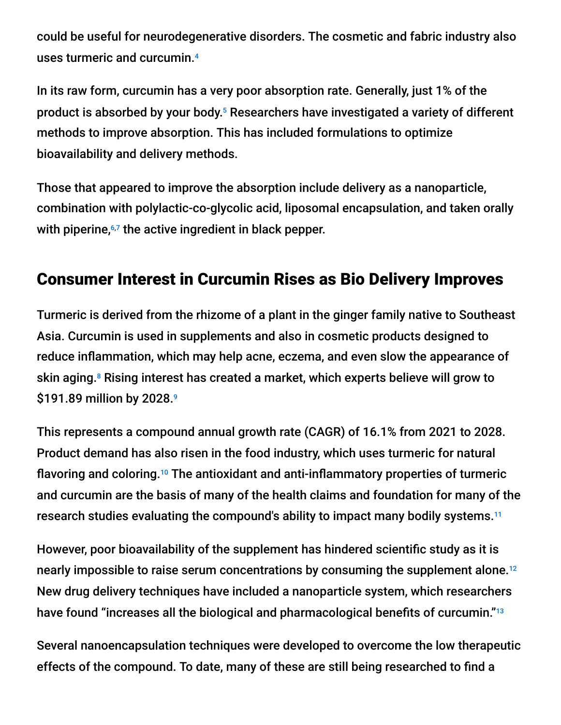could be useful for neurodegenerative disorders. The cosmetic and fabric industry also uses turmeric and curcumin. 4

In its raw form, curcumin has a very poor absorption rate. Generally, just 1% of the product is absorbed by your body.<sup>5</sup> Researchers have investigated a variety of different methods to improve absorption. This has included formulations to optimize bioavailability and delivery methods.

Those that appeared to improve the absorption include delivery as a nanoparticle, combination with polylactic-co-glycolic acid, liposomal encapsulation, and taken orally with piperine,<sup>6,7</sup> the active ingredient in black pepper.

### Consumer Interest in Curcumin Rises as Bio Delivery Improves

Turmeric is derived from the rhizome of a plant in the ginger family native to Southeast Asia. Curcumin is used in supplements and also in cosmetic products designed to reduce inflammation, which may help acne, eczema, and even slow the appearance of skin aging.<sup>8</sup> Rising interest has created a market, which experts believe will grow to \$191.89 million by 2028. 9

This represents a compound annual growth rate (CAGR) of 16.1% from 2021 to 2028. Product demand has also risen in the food industry, which uses turmeric for natural flavoring and coloring.<sup>10</sup> The antioxidant and anti-inflammatory properties of turmeric and curcumin are the basis of many of the health claims and foundation for many of the research studies evaluating the compound's ability to impact many bodily systems. 11

However, poor bioavailability of the supplement has hindered scientific study as it is nearly impossible to raise serum concentrations by consuming the supplement alone. 12 New drug delivery techniques have included a nanoparticle system, which researchers have found "increases all the biological and pharmacological benefits of curcumin." 13

Several nanoencapsulation techniques were developed to overcome the low therapeutic effects of the compound. To date, many of these are still being researched to find a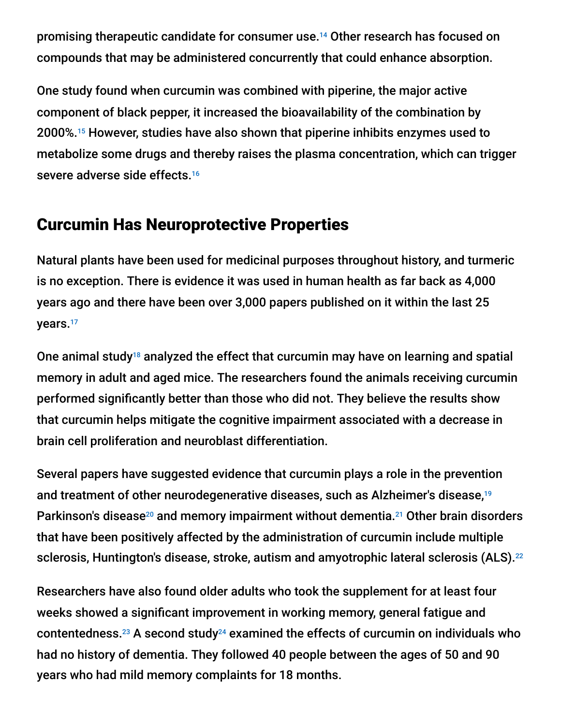promising therapeutic candidate for consumer use.<sup>14</sup> Other research has focused on compounds that may be administered concurrently that could enhance absorption.

One study found when curcumin was combined with piperine, the major active component of black pepper, it increased the bioavailability of the combination by 2000%.<sup>15</sup> However, studies have also shown that piperine inhibits enzymes used to metabolize some drugs and thereby raises the plasma concentration, which can trigger severe adverse side effects. 16

#### Curcumin Has Neuroprotective Properties

Natural plants have been used for medicinal purposes throughout history, and turmeric is no exception. There is evidence it was used in human health as far back as 4,000 years ago and there have been over 3,000 papers published on it within the last 25 years. 17

One animal study<sup>18</sup> analyzed the effect that curcumin may have on learning and spatial memory in adult and aged mice. The researchers found the animals receiving curcumin performed significantly better than those who did not. They believe the results show that curcumin helps mitigate the cognitive impairment associated with a decrease in brain cell proliferation and neuroblast differentiation.

Several papers have suggested evidence that curcumin plays a role in the prevention and treatment of other neurodegenerative diseases, such as Alzheimer's disease, 19 Parkinson's disease<sup>20</sup> and memory impairment without dementia.<sup>21</sup> Other brain disorders that have been positively affected by the administration of curcumin include multiple sclerosis, Huntington's disease, stroke, autism and amyotrophic lateral sclerosis (ALS). 22

Researchers have also found older adults who took the supplement for at least four weeks showed a significant improvement in working memory, general fatigue and contentedness. $^{23}$  A second study $^{24}$  examined the effects of curcumin on individuals who had no history of dementia. They followed 40 people between the ages of 50 and 90 years who had mild memory complaints for 18 months.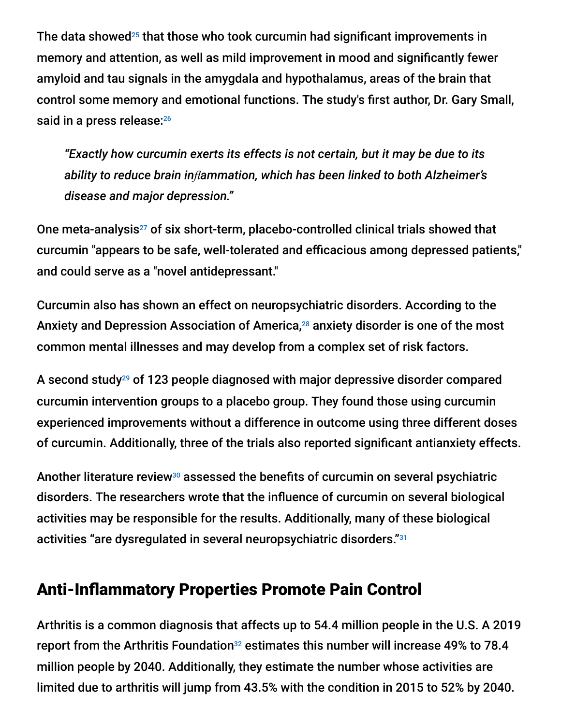The data showed $25$  that those who took curcumin had significant improvements in memory and attention, as well as mild improvement in mood and significantly fewer amyloid and tau signals in the amygdala and hypothalamus, areas of the brain that control some memory and emotional functions. The study's first author, Dr. Gary Small, said in a press release:<sup>26</sup>

*"Exactly how curcumin exerts its effects is not certain, but it may be due to its ability to reduce brain inflammation, which has been linked to both Alzheimer's disease and major depression."*

One meta-analysis $^{27}$  of six short-term, placebo-controlled clinical trials showed that curcumin "appears to be safe, well-tolerated and efficacious among depressed patients," and could serve as a "novel antidepressant."

Curcumin also has shown an effect on neuropsychiatric disorders. According to the Anxiety and Depression Association of America,<sup>28</sup> anxiety disorder is one of the most common mental illnesses and may develop from a complex set of risk factors.

A second study<sup>29</sup> of 123 people diagnosed with major depressive disorder compared curcumin intervention groups to a placebo group. They found those using curcumin experienced improvements without a difference in outcome using three different doses of curcumin. Additionally, three of the trials also reported significant antianxiety effects.

Another literature review<sup>30</sup> assessed the benefits of curcumin on several psychiatric disorders. The researchers wrote that the influence of curcumin on several biological activities may be responsible for the results. Additionally, many of these biological activities "are dysregulated in several neuropsychiatric disorders." 31

#### Anti-Inflammatory Properties Promote Pain Control

Arthritis is a common diagnosis that affects up to 54.4 million people in the U.S. A 2019 report from the Arthritis Foundation $32$  estimates this number will increase 49% to 78.4 million people by 2040. Additionally, they estimate the number whose activities are limited due to arthritis will jump from 43.5% with the condition in 2015 to 52% by 2040.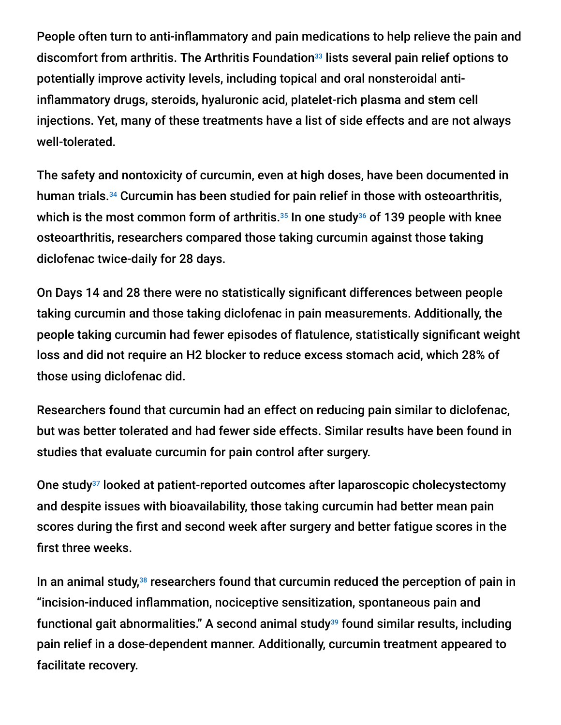People often turn to anti-inflammatory and pain medications to help relieve the pain and discomfort from arthritis. The Arthritis Foundation<sup>33</sup> lists several pain relief options to potentially improve activity levels, including topical and oral nonsteroidal antiinflammatory drugs, steroids, hyaluronic acid, platelet-rich plasma and stem cell injections. Yet, many of these treatments have a list of side effects and are not always well-tolerated.

The safety and nontoxicity of curcumin, even at high doses, have been documented in human trials.<sup>34</sup> Curcumin has been studied for pain relief in those with osteoarthritis, which is the most common form of arthritis. $^{35}$  In one study $^{36}$  of 139 people with knee osteoarthritis, researchers compared those taking curcumin against those taking diclofenac twice-daily for 28 days.

On Days 14 and 28 there were no statistically significant differences between people taking curcumin and those taking diclofenac in pain measurements. Additionally, the people taking curcumin had fewer episodes of flatulence, statistically significant weight loss and did not require an H2 blocker to reduce excess stomach acid, which 28% of those using diclofenac did.

Researchers found that curcumin had an effect on reducing pain similar to diclofenac, but was better tolerated and had fewer side effects. Similar results have been found in studies that evaluate curcumin for pain control after surgery.

One study<sup>37</sup> looked at patient-reported outcomes after laparoscopic cholecystectomy and despite issues with bioavailability, those taking curcumin had better mean pain scores during the first and second week after surgery and better fatigue scores in the first three weeks.

In an animal study, $38$  researchers found that curcumin reduced the perception of pain in "incision-induced inflammation, nociceptive sensitization, spontaneous pain and functional gait abnormalities." A second animal study<sup>39</sup> found similar results, including pain relief in a dose-dependent manner. Additionally, curcumin treatment appeared to facilitate recovery.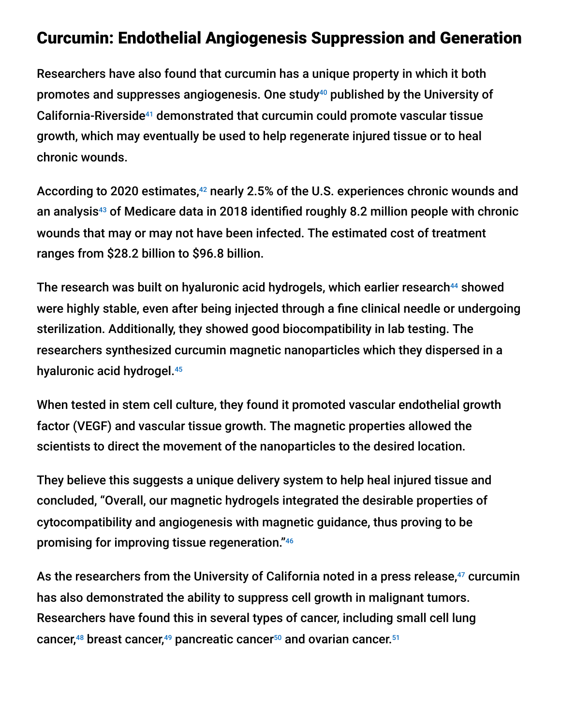#### Curcumin: Endothelial Angiogenesis Suppression and Generation

Researchers have also found that curcumin has a unique property in which it both promotes and suppresses angiogenesis. One study<sup>40</sup> published by the University of California-Riverside<sup>41</sup> demonstrated that curcumin could promote vascular tissue growth, which may eventually be used to help regenerate injured tissue or to heal chronic wounds.

According to 2020 estimates,<sup>42</sup> nearly 2.5% of the U.S. experiences chronic wounds and an analysis<sup>43</sup> of Medicare data in 2018 identified roughly 8.2 million people with chronic wounds that may or may not have been infected. The estimated cost of treatment ranges from \$28.2 billion to \$96.8 billion.

The research was built on hyaluronic acid hydrogels, which earlier research<sup>44</sup> showed were highly stable, even after being injected through a fine clinical needle or undergoing sterilization. Additionally, they showed good biocompatibility in lab testing. The researchers synthesized curcumin magnetic nanoparticles which they dispersed in a hyaluronic acid hydrogel. 45

When tested in stem cell culture, they found it promoted vascular endothelial growth factor (VEGF) and vascular tissue growth. The magnetic properties allowed the scientists to direct the movement of the nanoparticles to the desired location.

They believe this suggests a unique delivery system to help heal injured tissue and concluded, "Overall, our magnetic hydrogels integrated the desirable properties of cytocompatibility and angiogenesis with magnetic guidance, thus proving to be promising for improving tissue regeneration." 46

As the researchers from the University of California noted in a press release, $47$  curcumin has also demonstrated the ability to suppress cell growth in malignant tumors. Researchers have found this in several types of cancer, including small cell lung cancer,<sup>48</sup> breast cancer,<sup>49</sup> pancreatic cancer<sup>50</sup> and ovarian cancer.<sup>51</sup>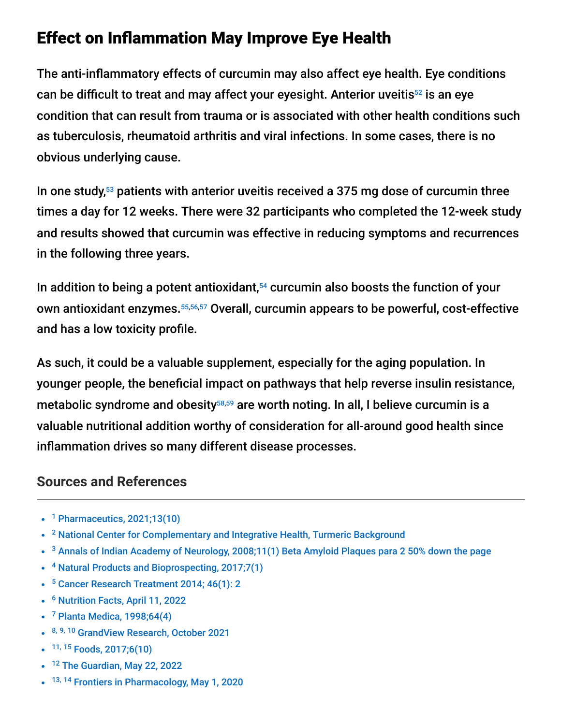## Effect on Inflammation May Improve Eye Health

The anti-inflammatory effects of curcumin may also affect eye health. Eye conditions can be difficult to treat and may affect your eyesight. Anterior uveitis<sup>52</sup> is an eye condition that can result from trauma or is associated with other health conditions such as tuberculosis, rheumatoid arthritis and viral infections. In some cases, there is no obvious underlying cause.

In one study, $53$  patients with anterior uveitis received a 375 mg dose of curcumin three times a day for 12 weeks. There were 32 participants who completed the 12-week study and results showed that curcumin was effective in reducing symptoms and recurrences in the following three years.

In addition to being a potent antioxidant, $54$  curcumin also boosts the function of your own antioxidant enzymes.<sup>55,56,57</sup> Overall, curcumin appears to be powerful, cost-effective and has a low toxicity profile.

As such, it could be a valuable supplement, especially for the aging population. In younger people, the beneficial impact on pathways that help reverse insulin resistance, metabolic syndrome and obesity<sup>58,59</sup> are worth noting. In all, I believe curcumin is a valuable nutritional addition worthy of consideration for all-around good health since inflammation drives so many different disease processes.

#### **Sources and References**

- <sup>1</sup> [Pharmaceutics, 2021;13\(10\)](https://www.ncbi.nlm.nih.gov/pmc/articles/PMC8540263/)
- <sup>2</sup> [National Center for Complementary and Integrative Health, Turmeric Background](https://www.nccih.nih.gov/health/turmeric)
- $3$  [Annals of Indian Academy of Neurology, 2008;11\(1\) Beta Amyloid Plaques para 2 50% down the page](https://www.ncbi.nlm.nih.gov/pmc/articles/PMC2781139/)
- <sup>4</sup> [Natural Products and Bioprospecting, 2017;7\(1\)](https://www.ncbi.nlm.nih.gov/pmc/articles/PMC5315675/)
- <sup>5</sup> [Cancer Research Treatment 2014; 46\(1\): 2](https://www.ncbi.nlm.nih.gov/pmc/articles/PMC3918523/)
- <sup>6</sup> [Nutrition Facts, April 11, 2022](https://nutritionfacts.org/2022/04/11/why-pepper-boosts-turmeric-blood-levels/)
- $7$  [Planta Medica, 1998;64\(4\)](https://pubmed.ncbi.nlm.nih.gov/9619120/)
- 8, 9, 10 [GrandView Research, October 2021](https://www.grandviewresearch.com/press-release/curcumin-market)
- <sup>11, 15</sup> [Foods, 2017;6\(10\)](https://www.ncbi.nlm.nih.gov/pmc/articles/PMC5664031/)
- <sup>12</sup> [The Guardian, May 22, 2022](https://www.theguardian.com/science/2022/may/22/does-turmerics-reputation-translate-into-real-health-benefits)
- <sup>13, 14</sup> [Frontiers in Pharmacology, May 1, 2020](https://www.frontiersin.org/articles/10.3389/fphar.2020.00487/full)